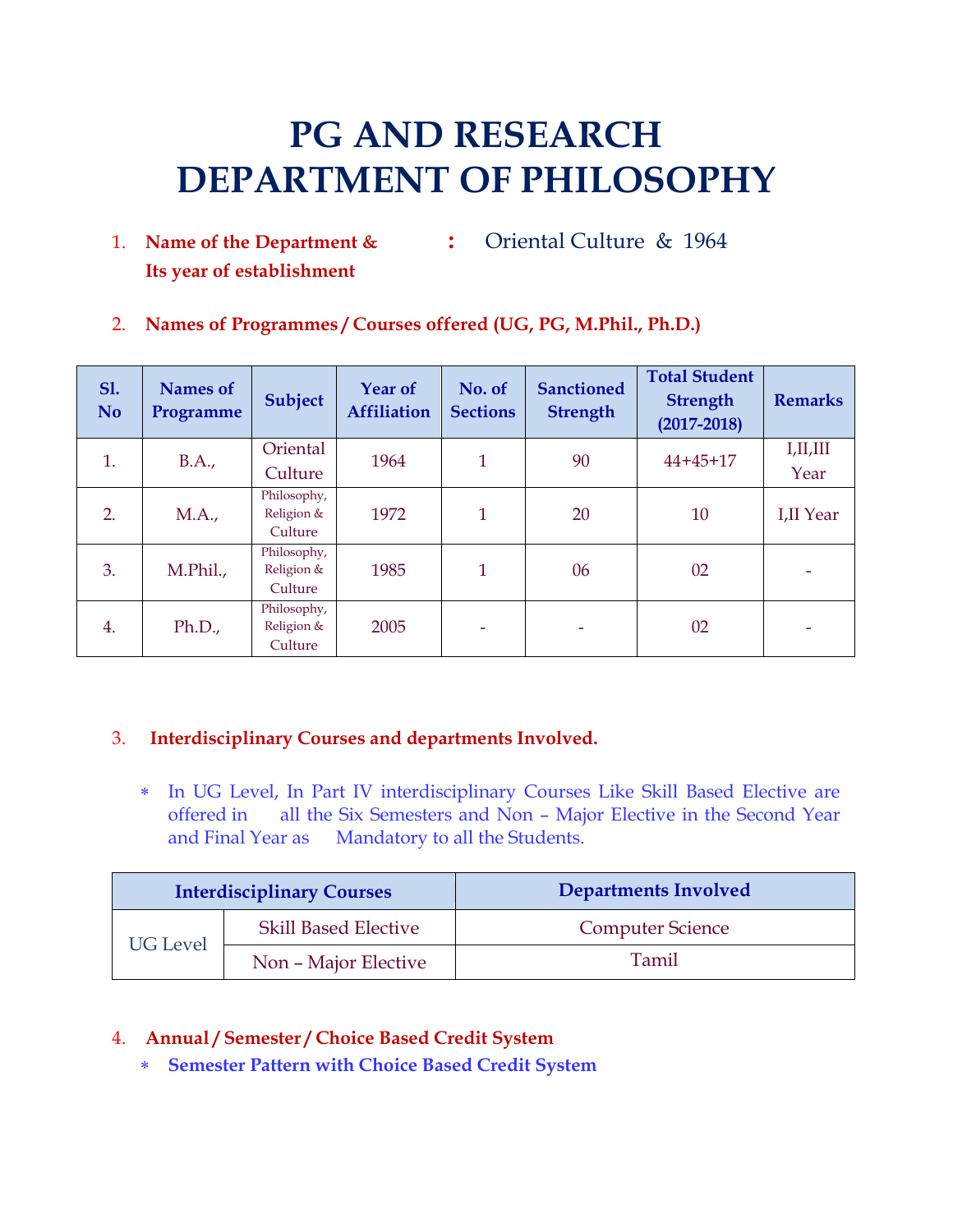# **PG AND RESEARCH DEPARTMENT OF PHILOSOPHY**

- 1. **Name of the Department & :** Oriental Culture & 1964 **Its year of establishment**
- 2. **Names of Programmes / Courses offered (UG, PG, M.Phil., Ph.D.)**

| <b>S1.</b><br>N <sub>o</sub> | <b>Names</b> of<br>Programme | <b>Subject</b>                       | <b>Year of</b><br><b>Affiliation</b> | No. of<br><b>Sections</b> | <b>Sanctioned</b><br><b>Strength</b> | <b>Total Student</b><br><b>Strength</b><br>$(2017 - 2018)$ | <b>Remarks</b>   |
|------------------------------|------------------------------|--------------------------------------|--------------------------------------|---------------------------|--------------------------------------|------------------------------------------------------------|------------------|
| 1.                           | B.A.,                        | Oriental<br>Culture                  | 1964                                 | 1                         | 90                                   | $44 + 45 + 17$                                             | I,II,III<br>Year |
| 2.                           | MA.,                         | Philosophy,<br>Religion &<br>Culture | 1972                                 | 1                         | 20                                   | 10                                                         | I,II Year        |
| 3.                           | M.Phil.,                     | Philosophy,<br>Religion &<br>Culture | 1985                                 | 1                         | 06                                   | 02                                                         |                  |
| 4.                           | Ph.D.,                       | Philosophy,<br>Religion &<br>Culture | 2005                                 |                           | ۰                                    | 02                                                         |                  |

# 3. **Interdisciplinary Courses and departments Involved.**

 In UG Level, In Part IV interdisciplinary Courses Like Skill Based Elective are offered in all the Six Semesters and Non – Major Elective in the Second Year and Final Year as Mandatory to all the Students.

|                 | <b>Interdisciplinary Courses</b> | <b>Departments Involved</b> |
|-----------------|----------------------------------|-----------------------------|
| <b>UG</b> Level | <b>Skill Based Elective</b>      | <b>Computer Science</b>     |
|                 | Non - Major Elective             | Tamil                       |

### 4. **Annual / Semester / Choice Based Credit System**

**Semester Pattern with Choice Based Credit System**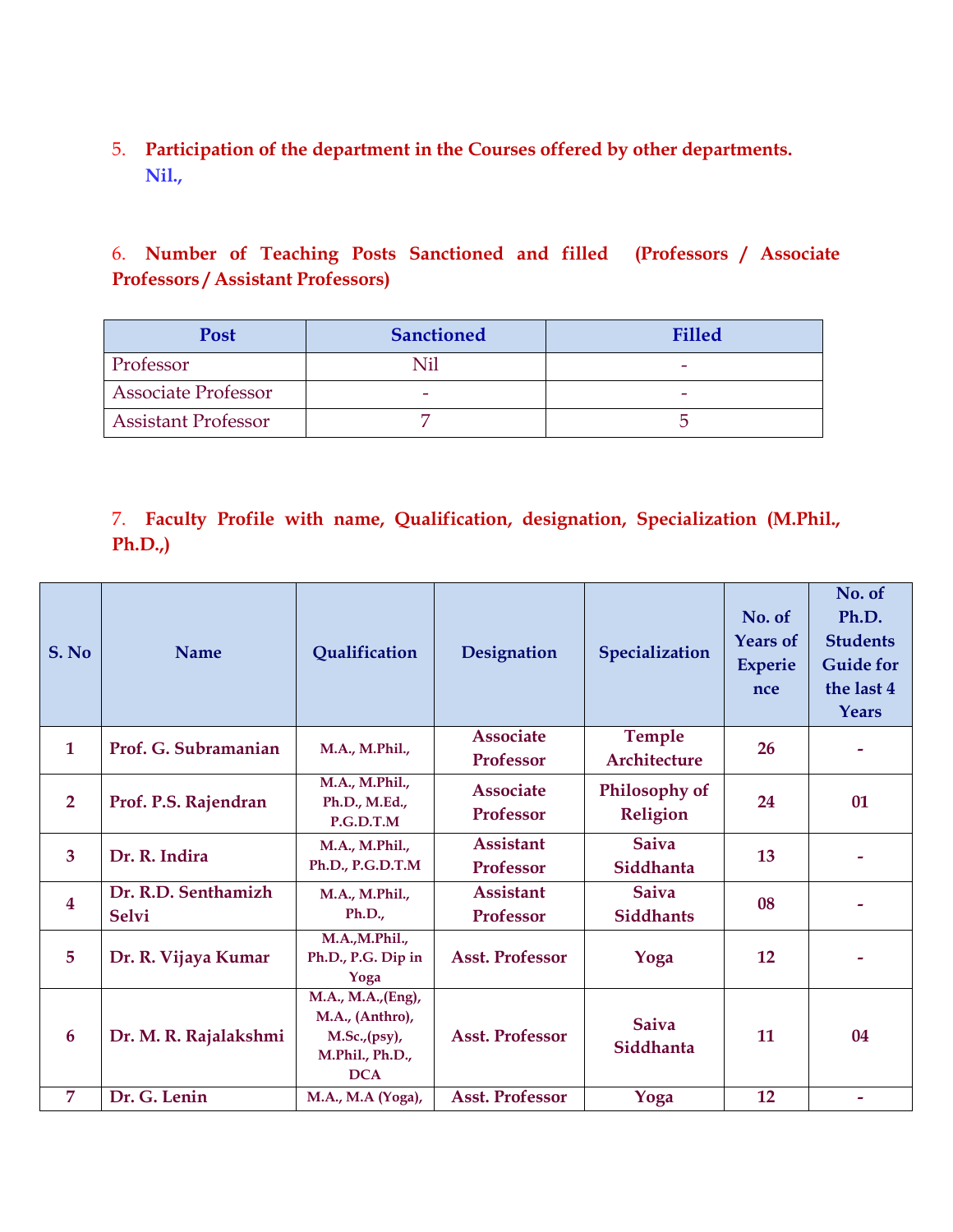5. **Participation of the department in the Courses offered by other departments. Nil.,**

6. **Number of Teaching Posts Sanctioned and filled (Professors / Associate Professors / Assistant Professors)**

| <b>Post</b>                | <b>Sanctioned</b> | <b>Filled</b> |
|----------------------------|-------------------|---------------|
| Professor                  |                   |               |
| <b>Associate Professor</b> |                   |               |
| <b>Assistant Professor</b> |                   |               |

# 7. **Faculty Profile with name, Qualification, designation, Specialization (M.Phil., Ph.D.,)**

| S. No                   | <b>Name</b>                         | Qualification                                                                           | Designation                          | Specialization                   | No. of<br><b>Years of</b><br><b>Experie</b><br>nce | No. of<br>Ph.D.<br><b>Students</b><br><b>Guide for</b><br>the last 4<br><b>Years</b> |
|-------------------------|-------------------------------------|-----------------------------------------------------------------------------------------|--------------------------------------|----------------------------------|----------------------------------------------------|--------------------------------------------------------------------------------------|
| $\mathbf{1}$            | Prof. G. Subramanian                | M.A., M.Phil.,                                                                          | <b>Associate</b><br><b>Professor</b> | Temple<br>Architecture           | 26                                                 |                                                                                      |
| $\overline{2}$          | Prof. P.S. Rajendran                | M.A., M.Phil.,<br>Ph.D., M.Ed.,<br>P.G.D.T.M                                            | <b>Associate</b><br>Professor        | Philosophy of<br>Religion        | 24                                                 | 01                                                                                   |
| 3                       | Dr. R. Indira                       | M.A., M.Phil.,<br>Ph.D., P.G.D.T.M                                                      | <b>Assistant</b><br><b>Professor</b> | <b>Saiva</b><br>Siddhanta        | 13                                                 |                                                                                      |
| $\overline{\mathbf{4}}$ | Dr. R.D. Senthamizh<br><b>Selvi</b> | M.A., M.Phil.,<br>Ph.D.,                                                                | <b>Assistant</b><br>Professor        | <b>Saiva</b><br><b>Siddhants</b> | 08                                                 |                                                                                      |
| 5                       | Dr. R. Vijaya Kumar                 | M.A.,M.Phil.,<br>Ph.D., P.G. Dip in<br>Yoga                                             | <b>Asst. Professor</b>               | Yoga                             | 12                                                 |                                                                                      |
| 6                       | Dr. M. R. Rajalakshmi               | M.A., M.A., (Eng),<br>M.A., (Anthro),<br>M.Sc., (psy),<br>M.Phil., Ph.D.,<br><b>DCA</b> | <b>Asst. Professor</b>               | <b>Saiva</b><br>Siddhanta        | 11                                                 | 04                                                                                   |
| 7                       | Dr. G. Lenin                        | M.A., M.A (Yoga),                                                                       | <b>Asst. Professor</b>               | Yoga                             | 12                                                 | ۰                                                                                    |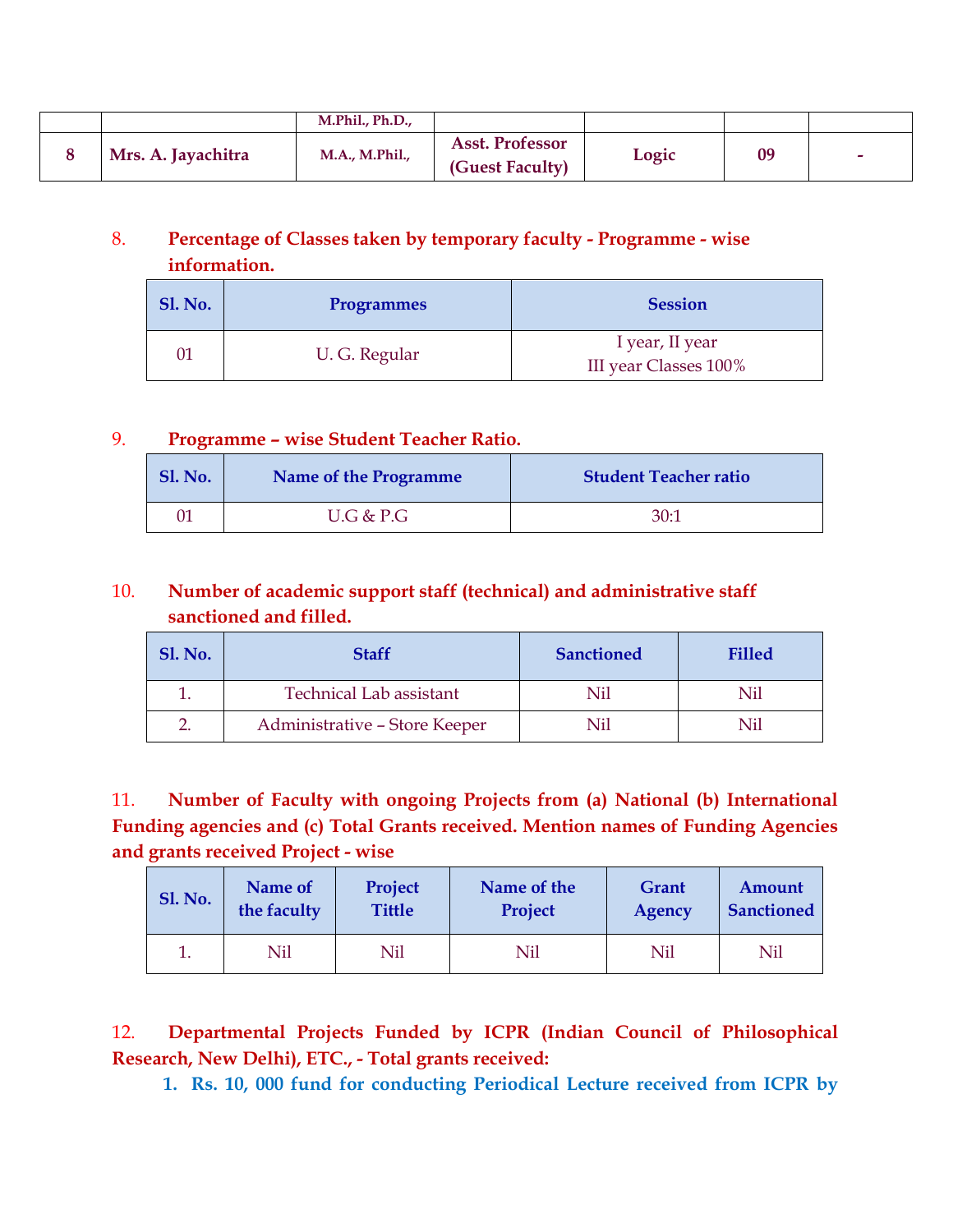|                    | M.Phil., Ph.D., |                                           |       |    |   |
|--------------------|-----------------|-------------------------------------------|-------|----|---|
| Mrs. A. Jayachitra | M.A., M.Phil.,  | <b>Asst. Professor</b><br>(Guest Faculty) | Logic | 09 | - |

# 8. **Percentage of Classes taken by temporary faculty - Programme - wise information.**

| <b>Sl. No.</b> | <b>Programmes</b> | <b>Session</b>                           |
|----------------|-------------------|------------------------------------------|
|                | U. G. Regular     | I year, II year<br>III year Classes 100% |

# 9. **Programme – wise Student Teacher Ratio.**

| <b>Sl. No.</b> | <b>Name of the Programme</b> | <b>Student Teacher ratio</b> |
|----------------|------------------------------|------------------------------|
| 01             | U.G & P.G                    | 30:7                         |

# 10. **Number of academic support staff (technical) and administrative staff sanctioned and filled.**

| <b>Sl. No.</b> | <b>Staff</b>                   | <b>Sanctioned</b> | <b>Filled</b> |
|----------------|--------------------------------|-------------------|---------------|
|                | <b>Technical Lab assistant</b> | Nil               | Nil           |
|                | Administrative - Store Keeper  | Nil               | Nil           |

11. **Number of Faculty with ongoing Projects from (a) National (b) International Funding agencies and (c) Total Grants received. Mention names of Funding Agencies and grants received Project - wise**

| <b>Sl. No.</b> | Name of     | Project       | Name of the | Grant  | Amount            |
|----------------|-------------|---------------|-------------|--------|-------------------|
|                | the faculty | <b>Tittle</b> | Project     | Agency | <b>Sanctioned</b> |
|                | Nil         | Nil           | Nil         | Nil    | Nil               |

12. **Departmental Projects Funded by ICPR (Indian Council of Philosophical Research, New Delhi), ETC., - Total grants received:**

**1. Rs. 10, 000 fund for conducting Periodical Lecture received from ICPR by**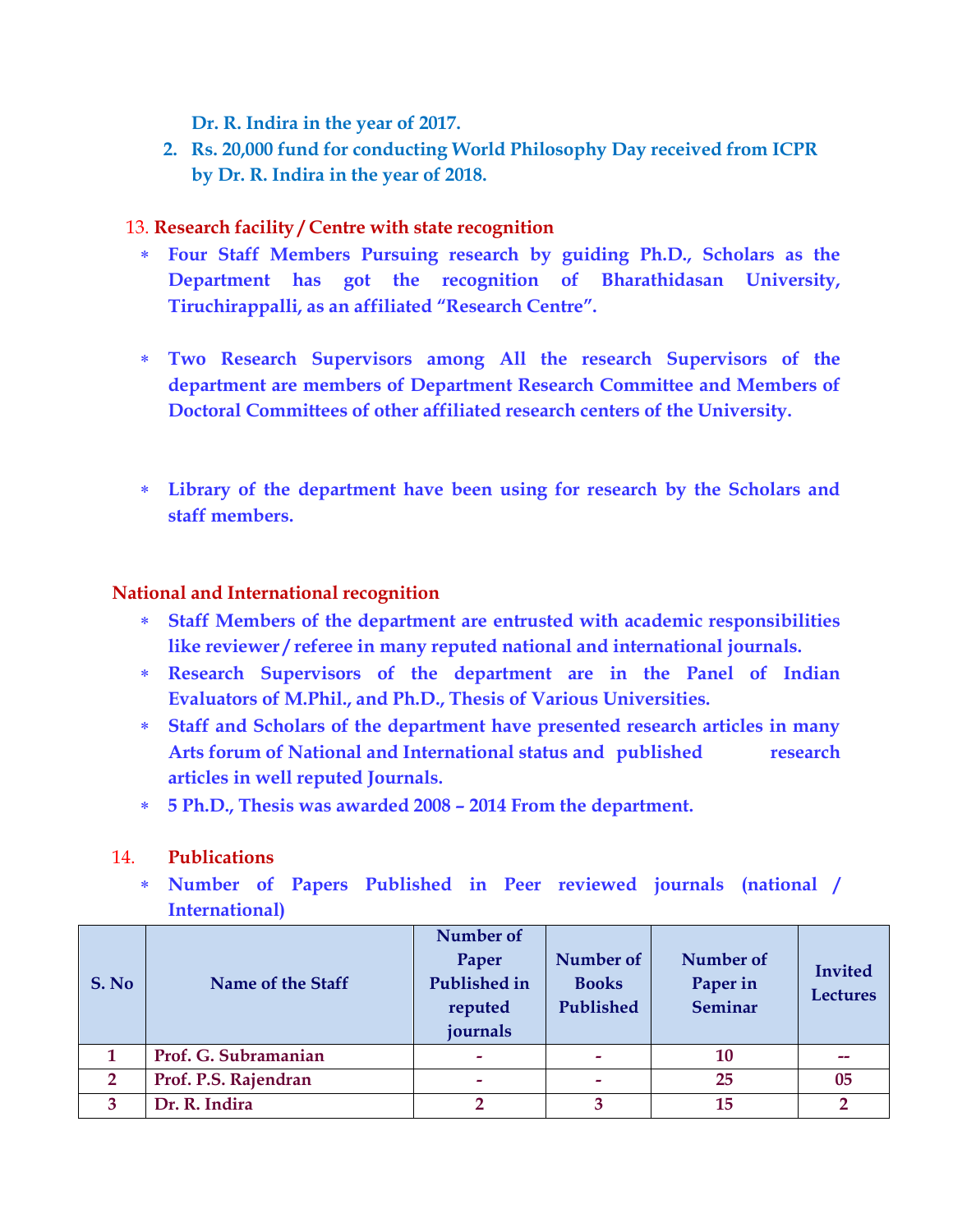**Dr. R. Indira in the year of 2017.**

**2. Rs. 20,000 fund for conducting World Philosophy Day received from ICPR by Dr. R. Indira in the year of 2018.**

### 13. **Research facility / Centre with state recognition**

- **Four Staff Members Pursuing research by guiding Ph.D., Scholars as the Department has got the recognition of Bharathidasan University, Tiruchirappalli, as an affiliated "Research Centre".**
- **Two Research Supervisors among All the research Supervisors of the department are members of Department Research Committee and Members of Doctoral Committees of other affiliated research centers of the University.**
- **Library of the department have been using for research by the Scholars and staff members.**

### **National and International recognition**

- **Staff Members of the department are entrusted with academic responsibilities like reviewer / referee in many reputed national and international journals.**
- **Research Supervisors of the department are in the Panel of Indian Evaluators of M.Phil., and Ph.D., Thesis of Various Universities.**
- **Staff and Scholars of the department have presented research articles in many Arts forum of National and International status and published research articles in well reputed Journals.**
- **5 Ph.D., Thesis was awarded 2008 – 2014 From the department.**

### 14. **Publications**

 **Number of Papers Published in Peer reviewed journals (national / International)**

| S. No        | Name of the Staff    | Number of<br>Paper<br><b>Published in</b><br>reputed<br>journals | Number of<br><b>Books</b><br>Published | Number of<br>Paper in<br>Seminar | <b>Invited</b><br><b>Lectures</b> |
|--------------|----------------------|------------------------------------------------------------------|----------------------------------------|----------------------------------|-----------------------------------|
|              | Prof. G. Subramanian |                                                                  |                                        | 10                               |                                   |
| $\mathbf{2}$ | Prof. P.S. Rajendran | -                                                                |                                        | 25                               | 05                                |
| 3            | Dr. R. Indira        |                                                                  | 3                                      | 15                               | റ                                 |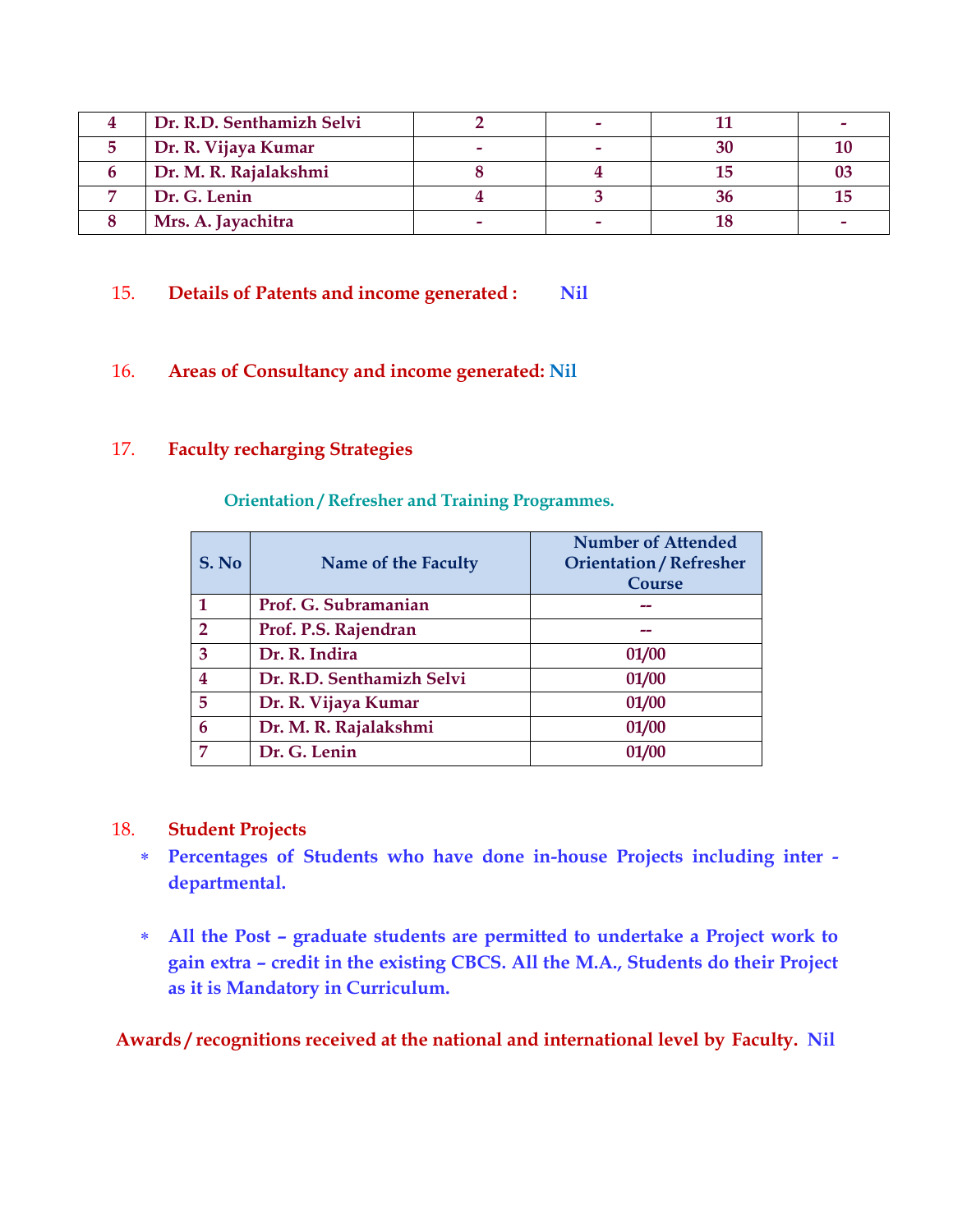| Dr. R.D. Senthamizh Selvi |  |  |
|---------------------------|--|--|
| Dr. R. Vijaya Kumar       |  |  |
| Dr. M. R. Rajalakshmi     |  |  |
| Dr. G. Lenin              |  |  |
| Mrs. A. Jayachitra        |  |  |

### 15. **Details of Patents and income generated : Nil**

### 16. **Areas of Consultancy and income generated: Nil**

### 17. **Faculty recharging Strategies**

| S. No                   | Name of the Faculty       | <b>Number of Attended</b><br><b>Orientation / Refresher</b><br><b>Course</b> |
|-------------------------|---------------------------|------------------------------------------------------------------------------|
|                         | Prof. G. Subramanian      |                                                                              |
| $\overline{2}$          | Prof. P.S. Rajendran      |                                                                              |
| 3                       | Dr. R. Indira             | 01/00                                                                        |
| $\overline{\mathbf{4}}$ | Dr. R.D. Senthamizh Selvi | 01/00                                                                        |
| 5                       | Dr. R. Vijaya Kumar       | 01/00                                                                        |
| 6                       | Dr. M. R. Rajalakshmi     | 01/00                                                                        |
| 7                       | Dr. G. Lenin              | 01/00                                                                        |

**Orientation / Refresher and Training Programmes.**

#### 18. **Student Projects**

- **Percentages of Students who have done in-house Projects including inter departmental.**
- **All the Post – graduate students are permitted to undertake a Project work to gain extra – credit in the existing CBCS. All the M.A., Students do their Project as it is Mandatory in Curriculum.**

**Awards / recognitions received at the national and international level by Faculty. Nil**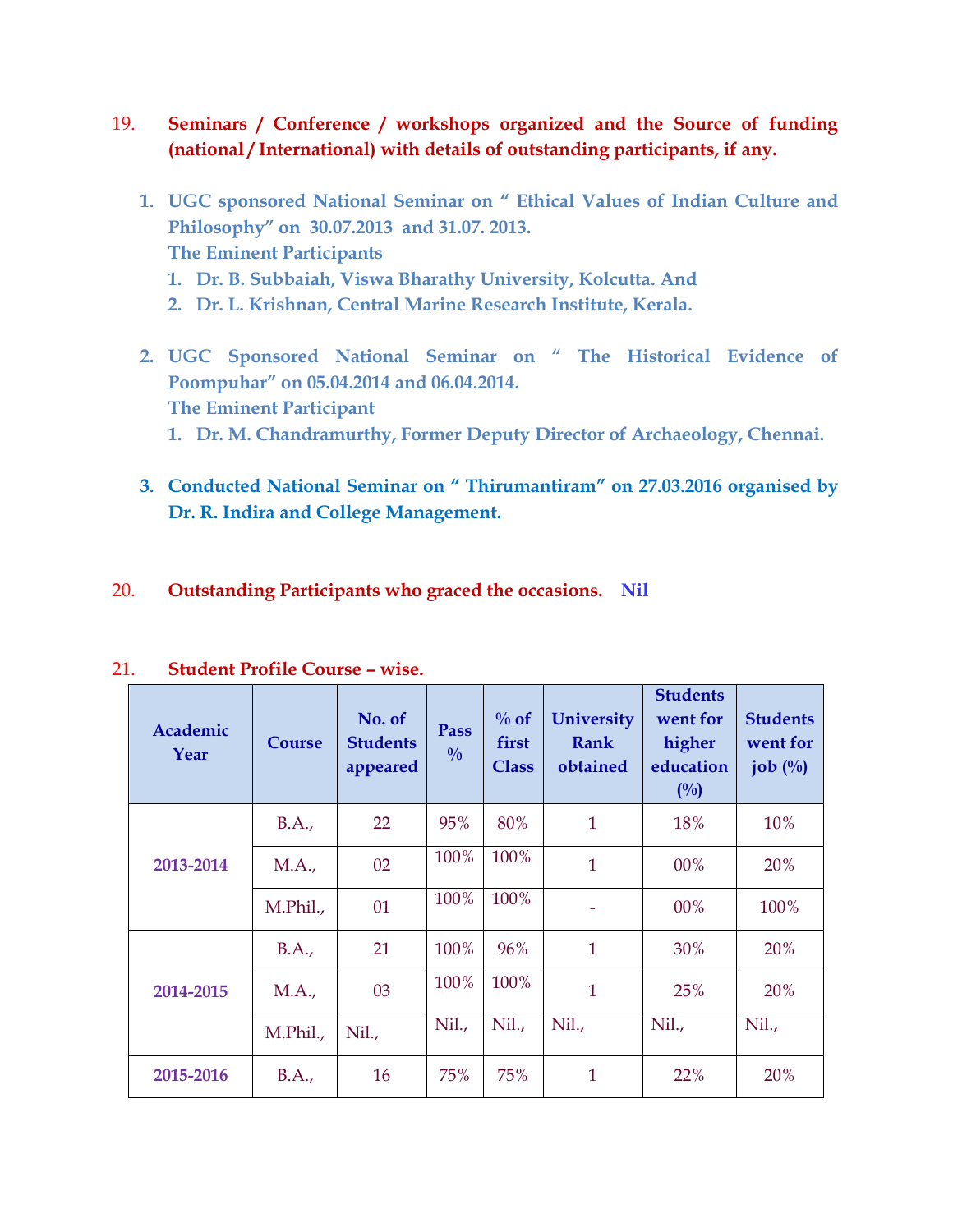- 19. **Seminars / Conference / workshops organized and the Source of funding (national / International) with details of outstanding participants, if any.**
	- **1. UGC sponsored National Seminar on " Ethical Values of Indian Culture and Philosophy" on 30.07.2013 and 31.07. 2013. The Eminent Participants 1. Dr. B. Subbaiah, Viswa Bharathy University, Kolcutta. And**
		- **2. Dr. L. Krishnan, Central Marine Research Institute, Kerala.**
	- **2. UGC Sponsored National Seminar on " The Historical Evidence of Poompuhar" on 05.04.2014 and 06.04.2014. The Eminent Participant**
		- **1. Dr. M. Chandramurthy, Former Deputy Director of Archaeology, Chennai.**
	- **3. Conducted National Seminar on " Thirumantiram" on 27.03.2016 organised by Dr. R. Indira and College Management.**
- 20. **Outstanding Participants who graced the occasions. Nil**

| Academic<br>Year | <b>Course</b> | No. of<br><b>Students</b><br>appeared | Pass<br>$\frac{0}{0}$ | $\%$ of<br>first<br><b>Class</b> | <b>University</b><br><b>Rank</b><br>obtained | <b>Students</b><br>went for<br>higher<br>education<br>(0/0) | <b>Students</b><br>went for<br>job $\left(\frac{0}{0}\right)$ |
|------------------|---------------|---------------------------------------|-----------------------|----------------------------------|----------------------------------------------|-------------------------------------------------------------|---------------------------------------------------------------|
|                  | B.A.,         | 22                                    | 95%                   | 80%                              | $\mathbf{1}$                                 | 18%                                                         | 10%                                                           |
| 2013-2014        | M.A.,         | 02                                    | 100%                  | 100%                             | $\mathbf{1}$                                 | 00%                                                         | 20%                                                           |
|                  | M.Phil.,      | 01                                    | 100%                  | 100%                             |                                              | 00%                                                         | 100%                                                          |
|                  | B.A.,         | 21                                    | 100%                  | 96%                              | $\mathbf{1}$                                 | 30%                                                         | 20%                                                           |
| 2014-2015        | M.A.,         | 03                                    | 100%                  | 100%                             | $\mathbf{1}$                                 | 25%                                                         | 20%                                                           |
|                  | M.Phil.,      | Nil.                                  | Nil.                  | Nil.,                            | Nil.,                                        | Nil.,                                                       | Nil.,                                                         |
| 2015-2016        | B.A.,         | 16                                    | 75%                   | 75%                              | $\mathbf{1}$                                 | 22%                                                         | 20%                                                           |

| 21. | <b>Student Profile Course - wise.</b> |  |
|-----|---------------------------------------|--|
|-----|---------------------------------------|--|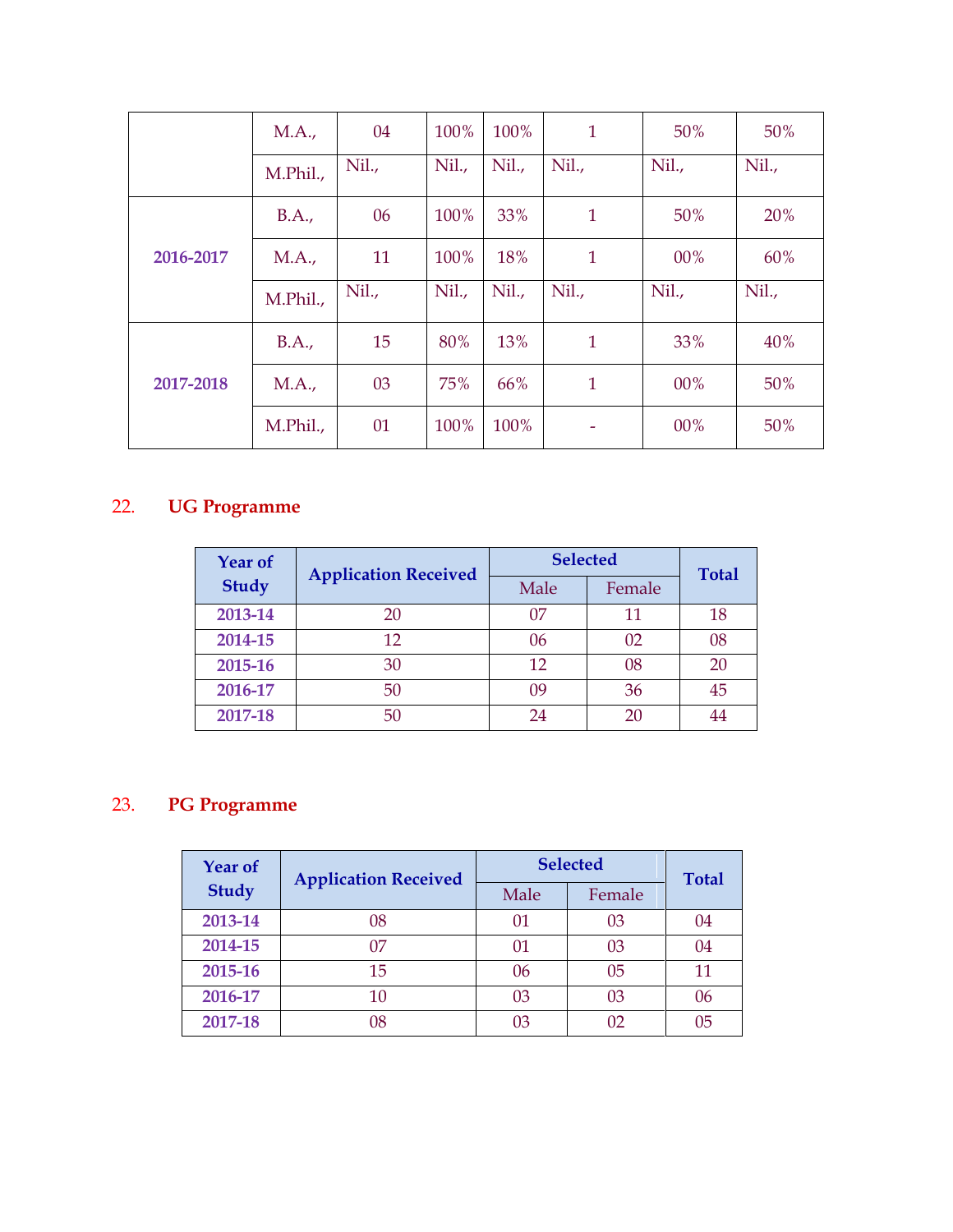|           | M.A.,    | 04    | 100%  | 100% | $\mathbf{1}$ | 50%   | 50%   |
|-----------|----------|-------|-------|------|--------------|-------|-------|
|           | M.Phil., | Nil., | Nil., | Nil. | Nil.         | Nil., | Nil.  |
|           | B.A.,    | 06    | 100%  | 33%  | $\mathbf{1}$ | 50%   | 20%   |
| 2016-2017 | MA.,     | 11    | 100%  | 18%  | $\mathbf{1}$ | 00%   | 60%   |
|           |          |       |       |      |              |       |       |
|           | M.Phil., | Nil., | Nil., | Nil. | Nil.,        | Nil., | Nil., |
|           | B.A.,    | 15    | 80%   | 13%  | $\mathbf{1}$ | 33%   | 40%   |
| 2017-2018 | M.A.,    | 03    | 75%   | 66%  | $\mathbf{1}$ | 00%   | 50%   |

# 22. **UG Programme**

| <b>Year of</b> | <b>Application Received</b> | <b>Selected</b> | <b>Total</b> |    |
|----------------|-----------------------------|-----------------|--------------|----|
| <b>Study</b>   |                             | Male            | Female       |    |
| 2013-14        | 20                          | 07              | 11           | 18 |
| 2014-15        | 12                          | 06              | 02           | 08 |
| 2015-16        | 30                          | 12              | 08           | 20 |
| 2016-17        | 50                          | 09              | 36           | 45 |
| 2017-18        | 50                          | 24              | 20           |    |

# 23. **PG Programme**

| <b>Year of</b> | <b>Application Received</b> | <b>Selected</b> | <b>Total</b> |    |
|----------------|-----------------------------|-----------------|--------------|----|
| <b>Study</b>   |                             | Male            | Female       |    |
| 2013-14        | 08                          | 01              | 03           | 04 |
| 2014-15        | 07                          | 01              | 03           | 04 |
| 2015-16        | 15                          | 06              | 05           | 11 |
| 2016-17        | 10                          | 03              | 03           | 06 |
| 2017-18        | 08                          | 03              | 02           | 05 |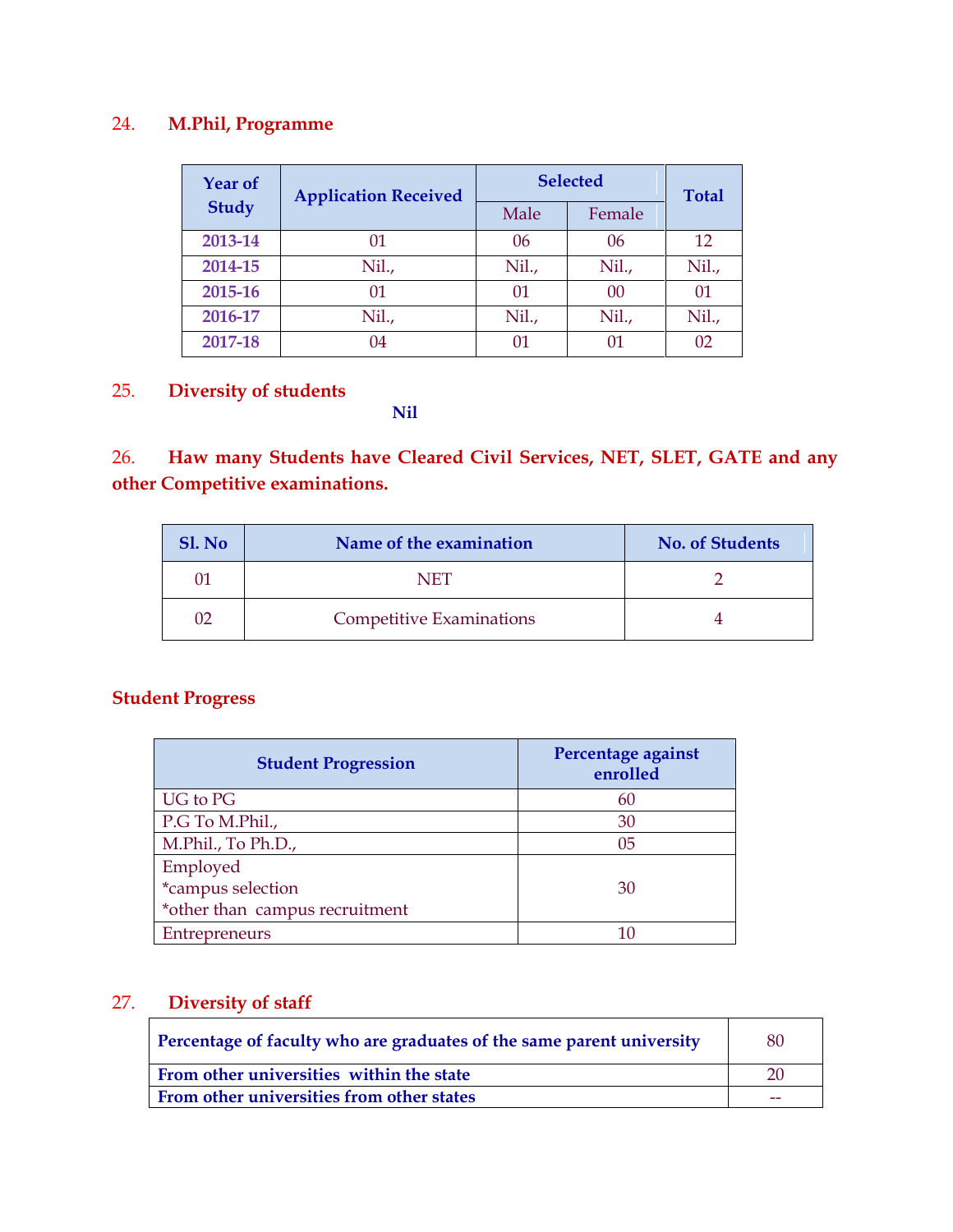# 24. **M.Phil, Programme**

| <b>Year of</b> | <b>Application Received</b> | <b>Selected</b> | <b>Total</b> |       |
|----------------|-----------------------------|-----------------|--------------|-------|
| <b>Study</b>   |                             | Male            | Female       |       |
| 2013-14        | 01                          | 06              | 06           | 12    |
| 2014-15        | Nil.,                       | Nil.,           | Nil.,        | Nil., |
| 2015-16        | 01                          | 01              | 00           | 01    |
| 2016-17        | Nil.,                       | Nil.,           | Nil.,        | Nil., |
| 2017-18        | 04                          | 01              |              | 02    |

# 25. **Diversity of students**

#### **Nil**

# 26. **Haw many Students have Cleared Civil Services, NET, SLET, GATE and any other Competitive examinations.**

| Sl. No | Name of the examination         | <b>No. of Students</b> |
|--------|---------------------------------|------------------------|
|        | NET                             |                        |
|        | <b>Competitive Examinations</b> |                        |

# **Student Progress**

| <b>Student Progression</b>     | Percentage against<br>enrolled |  |
|--------------------------------|--------------------------------|--|
| UG to PG                       | 60                             |  |
| P.G To M.Phil.,                | 30                             |  |
| M.Phil., To Ph.D.,             | 05                             |  |
| Employed                       |                                |  |
| *campus selection              | 30                             |  |
| *other than campus recruitment |                                |  |
| Entrepreneurs                  |                                |  |

# 27. **Diversity of staff**

| Percentage of faculty who are graduates of the same parent university | 80 |
|-----------------------------------------------------------------------|----|
| From other universities within the state                              |    |
| From other universities from other states                             |    |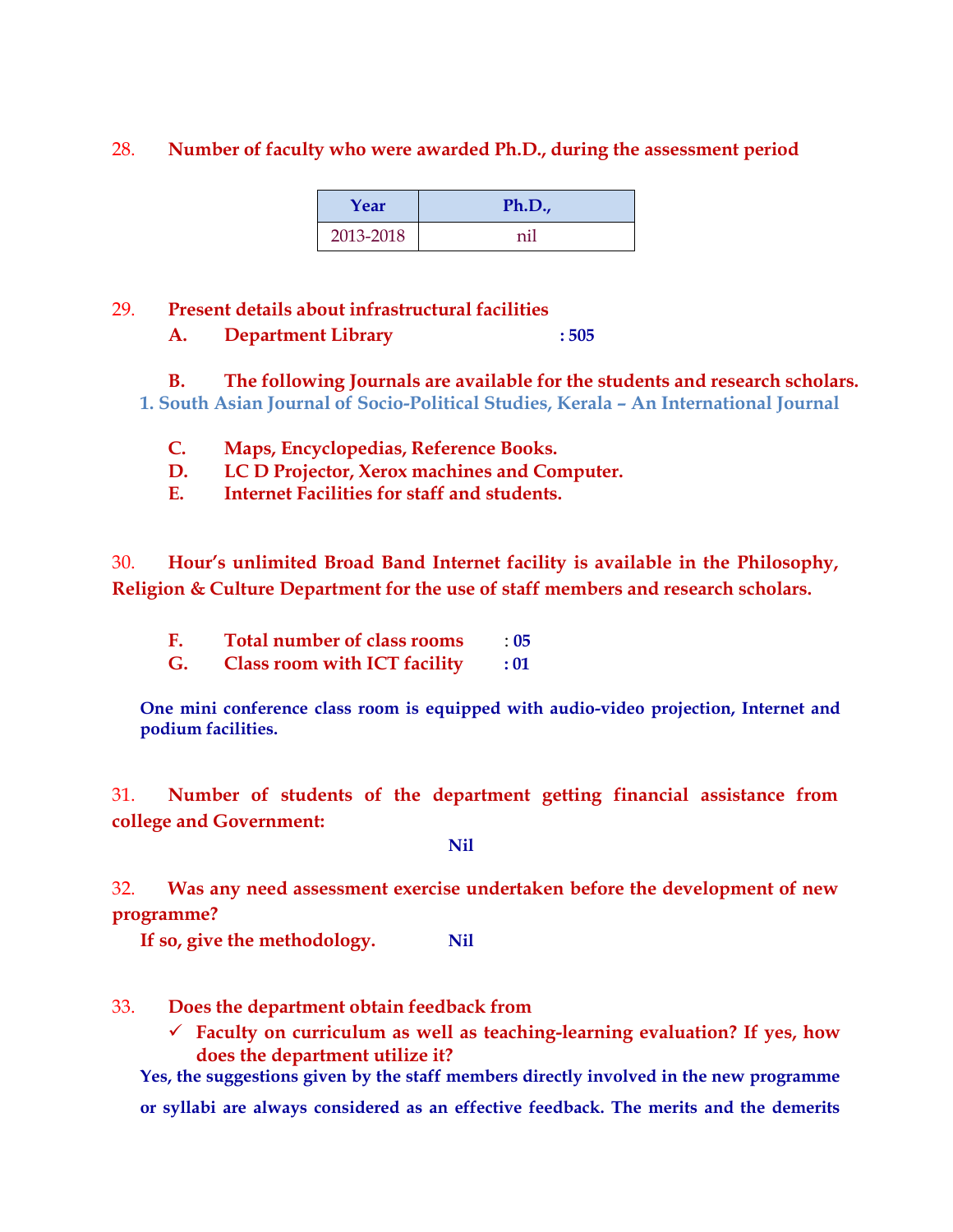#### 28. **Number of faculty who were awarded Ph.D., during the assessment period**

| Year      | Ph.D., |
|-----------|--------|
| 2013-2018 | nil    |

#### 29. **Present details about infrastructural facilities**

**A. Department Library : 505**

**B. The following Journals are available for the students and research scholars. 1. South Asian Journal of Socio-Political Studies, Kerala – An International Journal**

- **C. Maps, Encyclopedias, Reference Books.**
- **D. LC D Projector, Xerox machines and Computer.**
- **E. Internet Facilities for staff and students.**

30. **Hour's unlimited Broad Band Internet facility is available in the Philosophy, Religion & Culture Department for the use of staff members and research scholars.**

- **F. Total number of class rooms** : **05**
- **G. Class room with ICT facility : 01**

**One mini conference class room is equipped with audio-video projection, Internet and podium facilities.**

31. **Number of students of the department getting financial assistance from college and Government:**

**Nil**

32. **Was any need assessment exercise undertaken before the development of new programme?**

**If so, give the methodology. Nil**

- 33. **Does the department obtain feedback from**
	- **Faculty on curriculum as well as teaching-learning evaluation? If yes, how does the department utilize it?**

**Yes, the suggestions given by the staff members directly involved in the new programme or syllabi are always considered as an effective feedback. The merits and the demerits**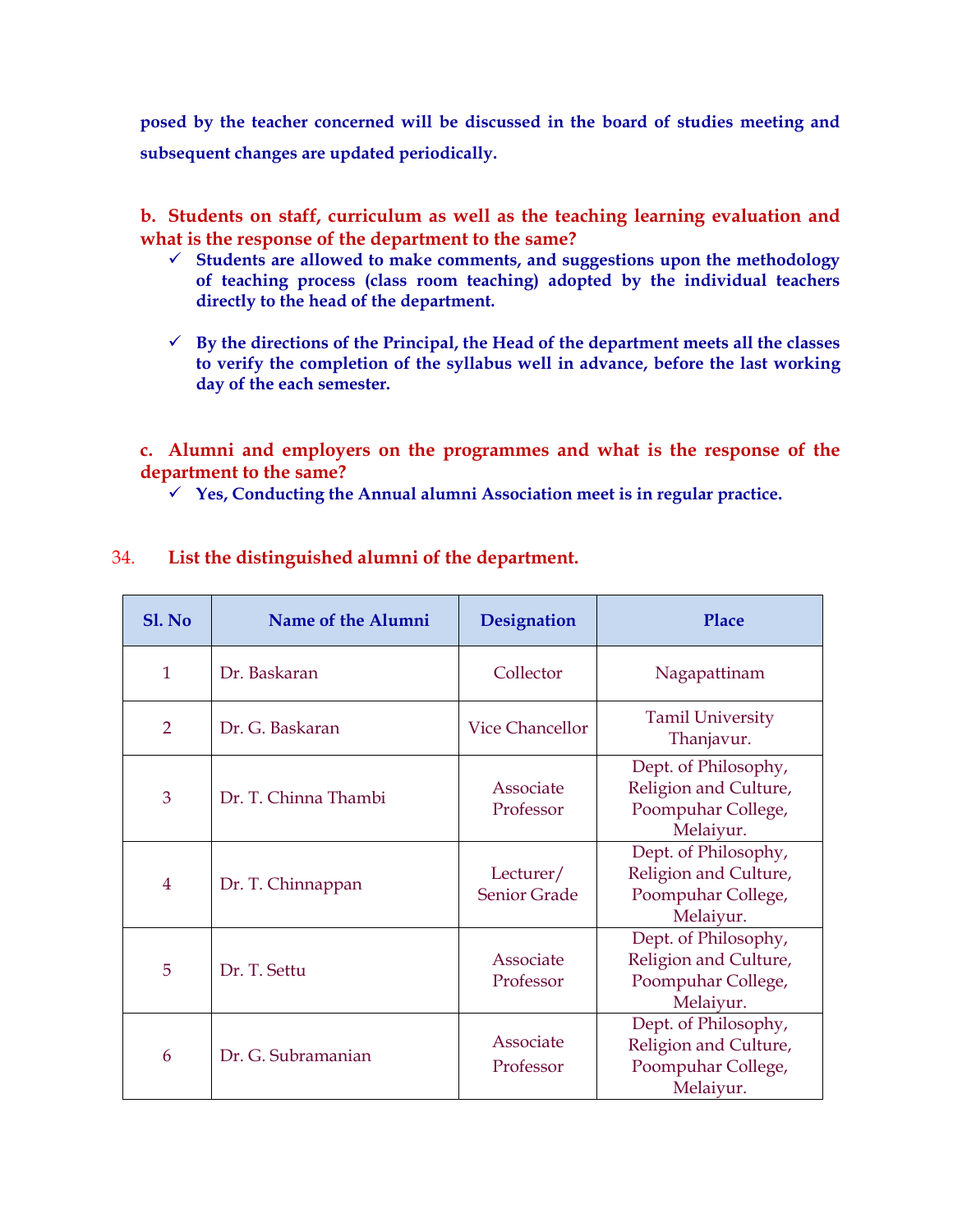**posed by the teacher concerned will be discussed in the board of studies meeting and subsequent changes are updated periodically.**

**b. Students on staff, curriculum as well as the teaching learning evaluation and what is the response of the department to the same?**

- **Students are allowed to make comments, and suggestions upon the methodology of teaching process (class room teaching) adopted by the individual teachers directly to the head of the department.**
- $\checkmark$  By the directions of the Principal, the Head of the department meets all the classes **to verify the completion of the syllabus well in advance, before the last working day of the each semester.**

**c. Alumni and employers on the programmes and what is the response of the department to the same?**

**Yes, Conducting the Annual alumni Association meet is in regular practice.**

| Sl. No         | Name of the Alumni   | <b>Designation</b>               | Place                                                                            |
|----------------|----------------------|----------------------------------|----------------------------------------------------------------------------------|
| $\mathbf{1}$   | Dr. Baskaran         | Collector                        | Nagapattinam                                                                     |
| $\overline{2}$ | Dr. G. Baskaran      | <b>Vice Chancellor</b>           | <b>Tamil University</b><br>Thanjavur.                                            |
| 3              | Dr. T. Chinna Thambi | Associate<br>Professor           | Dept. of Philosophy,<br>Religion and Culture,<br>Poompuhar College,<br>Melaiyur. |
| $\overline{4}$ | Dr. T. Chinnappan    | Lecturer/<br><b>Senior Grade</b> | Dept. of Philosophy,<br>Religion and Culture,<br>Poompuhar College,<br>Melaiyur. |
| 5              | Dr. T. Settu         | Associate<br>Professor           | Dept. of Philosophy,<br>Religion and Culture,<br>Poompuhar College,<br>Melaiyur. |
| 6              | Dr. G. Subramanian   | Associate<br>Professor           | Dept. of Philosophy,<br>Religion and Culture,<br>Poompuhar College,<br>Melaivur. |

#### 34. **List the distinguished alumni of the department.**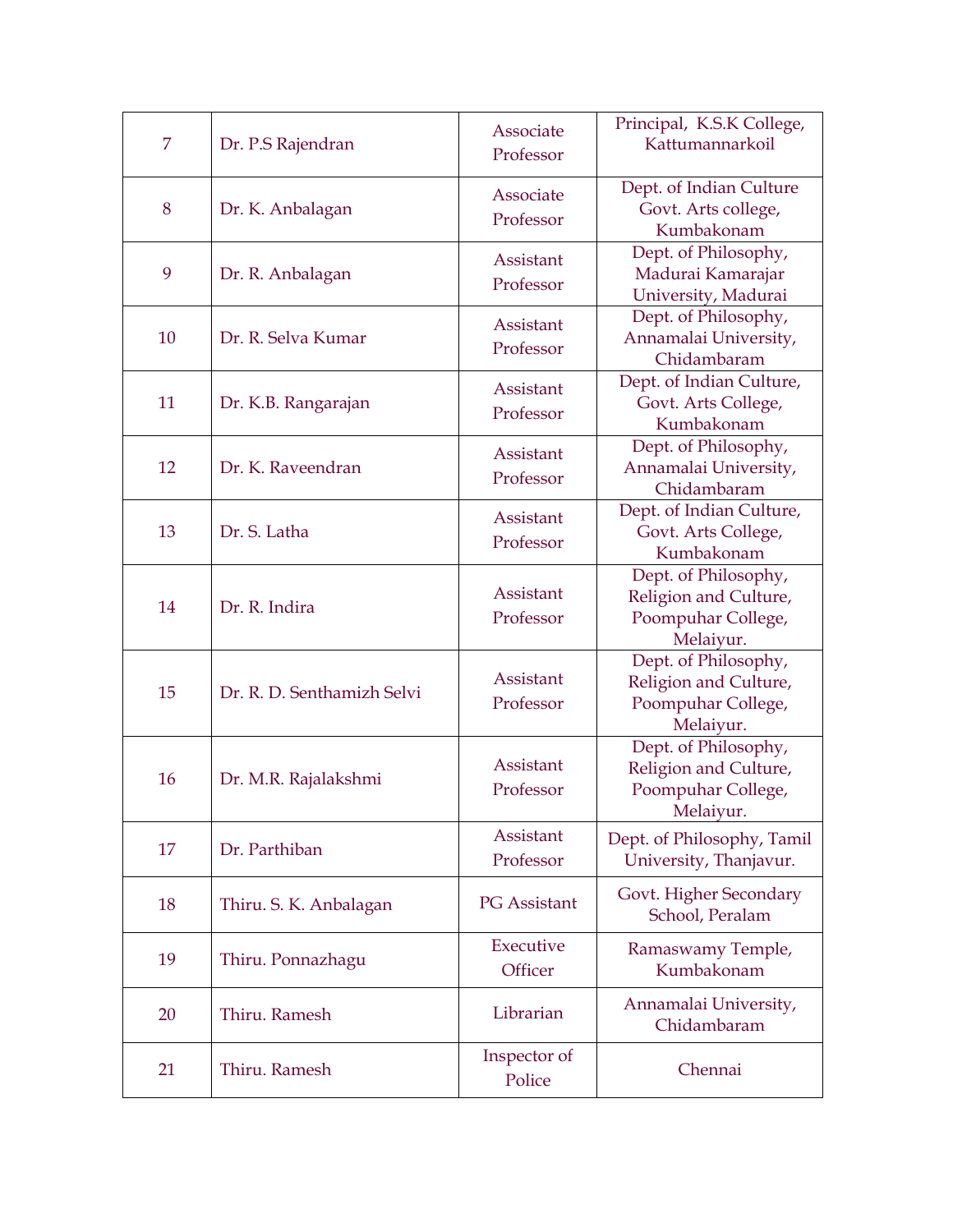| 7  | Dr. P.S Rajendran          | Associate<br>Professor | Principal, K.S.K College,<br>Kattumannarkoil                                     |
|----|----------------------------|------------------------|----------------------------------------------------------------------------------|
| 8  | Dr. K. Anbalagan           | Associate<br>Professor | Dept. of Indian Culture<br>Govt. Arts college,<br>Kumbakonam                     |
| 9  | Dr. R. Anbalagan           | Assistant<br>Professor | Dept. of Philosophy,<br>Madurai Kamarajar<br>University, Madurai                 |
| 10 | Dr. R. Selva Kumar         | Assistant<br>Professor | Dept. of Philosophy,<br>Annamalai University,<br>Chidambaram                     |
| 11 | Dr. K.B. Rangarajan        | Assistant<br>Professor | Dept. of Indian Culture,<br>Govt. Arts College,<br>Kumbakonam                    |
| 12 | Dr. K. Raveendran          | Assistant<br>Professor | Dept. of Philosophy,<br>Annamalai University,<br>Chidambaram                     |
| 13 | Dr. S. Latha               | Assistant<br>Professor | Dept. of Indian Culture,<br>Govt. Arts College,<br>Kumbakonam                    |
| 14 | Dr. R. Indira              | Assistant<br>Professor | Dept. of Philosophy,<br>Religion and Culture,<br>Poompuhar College,<br>Melaiyur. |
| 15 | Dr. R. D. Senthamizh Selvi | Assistant<br>Professor | Dept. of Philosophy,<br>Religion and Culture,<br>Poompuhar College,<br>Melaiyur. |
| 16 | Dr. M.R. Rajalakshmi       | Assistant<br>Professor | Dept. of Philosophy,<br>Religion and Culture,<br>Poompuhar College,<br>Melaiyur. |
| 17 | Dr. Parthiban              | Assistant<br>Professor | Dept. of Philosophy, Tamil<br>University, Thanjavur.                             |
| 18 | Thiru. S. K. Anbalagan     | <b>PG</b> Assistant    | Govt. Higher Secondary<br>School, Peralam                                        |
| 19 | Thiru. Ponnazhagu          | Executive<br>Officer   | Ramaswamy Temple,<br>Kumbakonam                                                  |
| 20 | Thiru. Ramesh              | Librarian              | Annamalai University,<br>Chidambaram                                             |
| 21 | Thiru. Ramesh              | Inspector of<br>Police | Chennai                                                                          |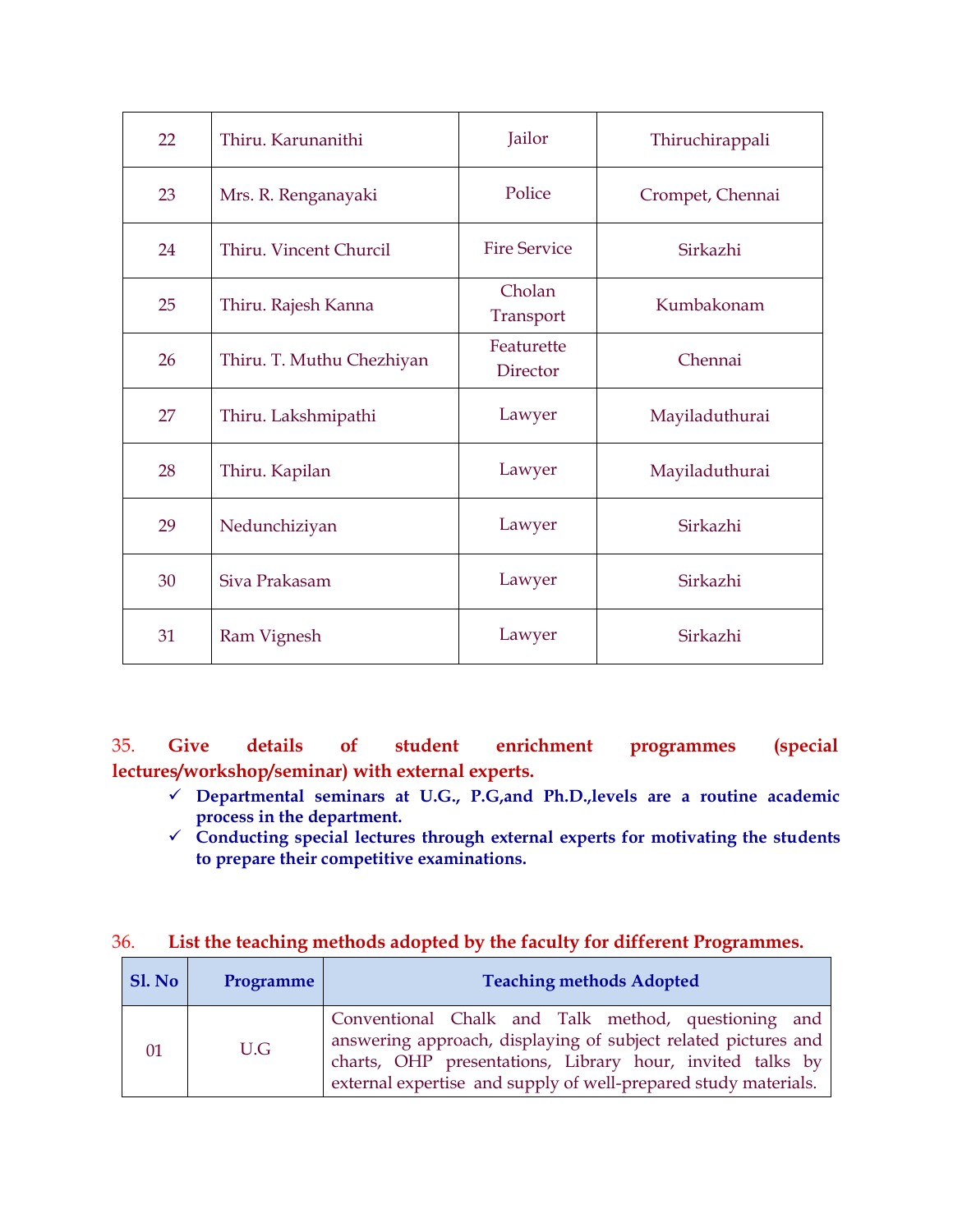| 22 | Thiru. Karunanithi        | Jailor                 | Thiruchirappali  |
|----|---------------------------|------------------------|------------------|
| 23 | Mrs. R. Renganayaki       | Police                 | Crompet, Chennai |
| 24 | Thiru. Vincent Churcil    | <b>Fire Service</b>    | Sirkazhi         |
| 25 | Thiru. Rajesh Kanna       | Cholan<br>Transport    | Kumbakonam       |
| 26 | Thiru. T. Muthu Chezhiyan | Featurette<br>Director | Chennai          |
| 27 | Thiru. Lakshmipathi       | Lawyer                 | Mayiladuthurai   |
| 28 | Thiru. Kapilan            | Lawyer                 | Mayiladuthurai   |
| 29 | Nedunchiziyan             | Lawyer                 | Sirkazhi         |
| 30 | Siva Prakasam             | Lawyer                 | Sirkazhi         |
| 31 | Ram Vignesh               | Lawyer                 | Sirkazhi         |

35. **Give details of student enrichment programmes (special lectures/workshop/seminar) with external experts.**

- **Departmental seminars at U.G., P.G,and Ph.D.,levels are a routine academic process in the department.**
- **Conducting special lectures through external experts for motivating the students to prepare their competitive examinations.**

### 36. **List the teaching methods adopted by the faculty for different Programmes.**

| Sl. No | Programme | <b>Teaching methods Adopted</b>                                                                                                                                                                                                                       |  |
|--------|-----------|-------------------------------------------------------------------------------------------------------------------------------------------------------------------------------------------------------------------------------------------------------|--|
| 01     | U.G       | Conventional Chalk and Talk method, questioning and<br>answering approach, displaying of subject related pictures and<br>charts, OHP presentations, Library hour, invited talks by<br>external expertise and supply of well-prepared study materials. |  |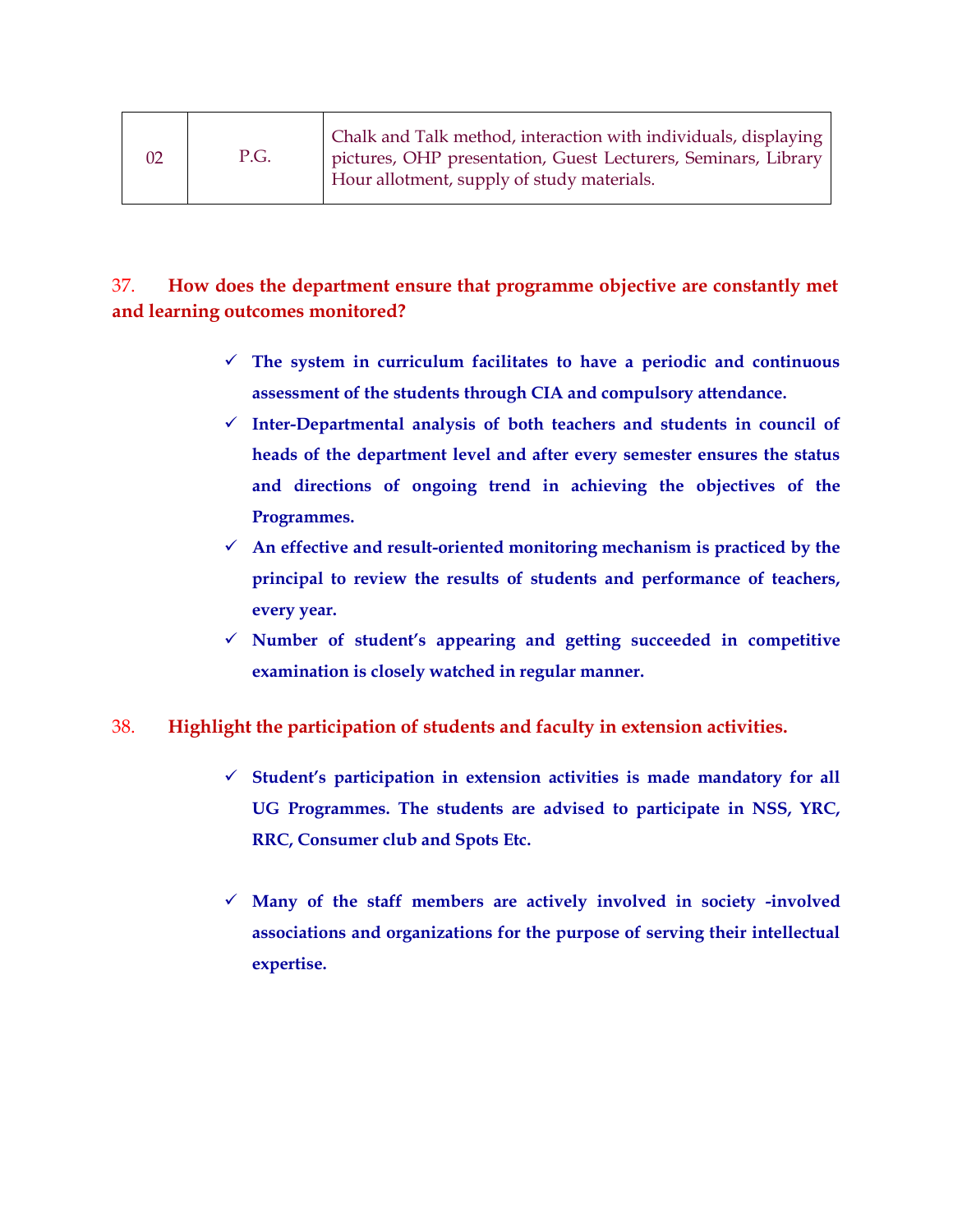| 02 | P.G. | Chalk and Talk method, interaction with individuals, displaying<br>pictures, OHP presentation, Guest Lecturers, Seminars, Library<br>Hour allotment, supply of study materials. |
|----|------|---------------------------------------------------------------------------------------------------------------------------------------------------------------------------------|
|----|------|---------------------------------------------------------------------------------------------------------------------------------------------------------------------------------|

# 37. **How does the department ensure that programme objective are constantly met and learning outcomes monitored?**

- $\checkmark$  The system in curriculum facilitates to have a periodic and continuous **assessment of the students through CIA and compulsory attendance.**
- **Inter-Departmental analysis of both teachers and students in council of heads of the department level and after every semester ensures the status and directions of ongoing trend in achieving the objectives of the Programmes.**
- **An effective and result-oriented monitoring mechanism is practiced by the principal to review the results of students and performance of teachers, every year.**
- **Number of student's appearing and getting succeeded in competitive examination is closely watched in regular manner.**

# 38. **Highlight the participation of students and faculty in extension activities.**

- **Student's participation in extension activities is made mandatory for all UG Programmes. The students are advised to participate in NSS, YRC, RRC, Consumer club and Spots Etc.**
- **Many of the staff members are actively involved in society -involved associations and organizations for the purpose of serving their intellectual expertise.**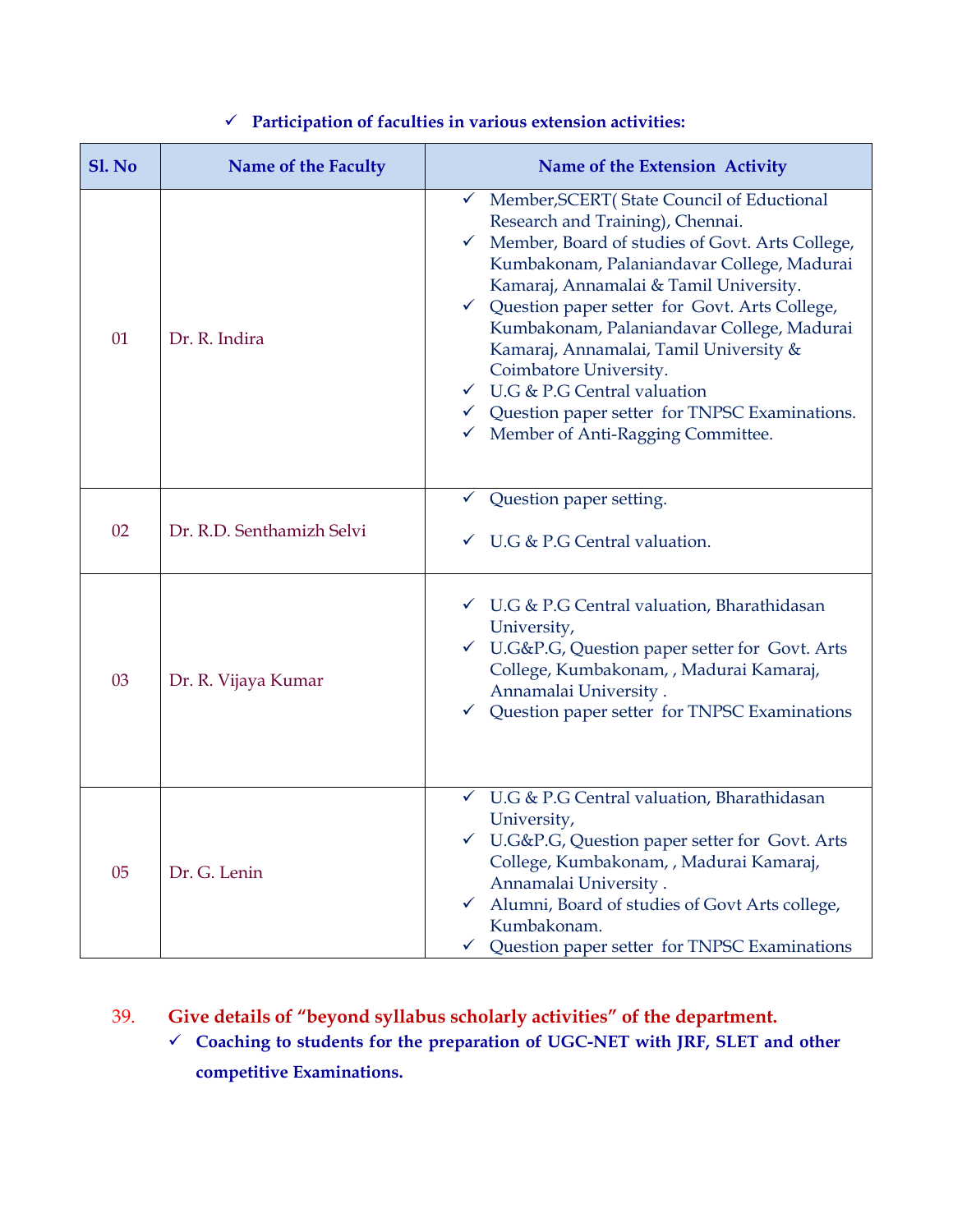| <b>Sl. No</b> | Name of the Faculty       | Name of the Extension Activity                                                                                                                                                                                                                                                                                                                                                                                                                                                                                                                       |
|---------------|---------------------------|------------------------------------------------------------------------------------------------------------------------------------------------------------------------------------------------------------------------------------------------------------------------------------------------------------------------------------------------------------------------------------------------------------------------------------------------------------------------------------------------------------------------------------------------------|
| 01            | Dr. R. Indira             | Member, SCERT (State Council of Eductional<br>✓<br>Research and Training), Chennai.<br>Member, Board of studies of Govt. Arts College,<br>Kumbakonam, Palaniandavar College, Madurai<br>Kamaraj, Annamalai & Tamil University.<br>← Question paper setter for Govt. Arts College,<br>Kumbakonam, Palaniandavar College, Madurai<br>Kamaraj, Annamalai, Tamil University &<br>Coimbatore University.<br>$\checkmark$ U.G & P.G Central valuation<br>$\checkmark$ Question paper setter for TNPSC Examinations.<br>√ Member of Anti-Ragging Committee. |
| 02            | Dr. R.D. Senthamizh Selvi | Question paper setting.<br>$\checkmark$<br>$\checkmark$ U.G & P.G Central valuation.                                                                                                                                                                                                                                                                                                                                                                                                                                                                 |
| 03            | Dr. R. Vijaya Kumar       | √ U.G & P.G Central valuation, Bharathidasan<br>University,<br>✓ U.G&P.G, Question paper setter for Govt. Arts<br>College, Kumbakonam, , Madurai Kamaraj,<br>Annamalai University.<br>$\checkmark$ Question paper setter for TNPSC Examinations                                                                                                                                                                                                                                                                                                      |
| 05            | Dr. G. Lenin              | √ U.G & P.G Central valuation, Bharathidasan<br>University,<br>✓ U.G&P.G, Question paper setter for Govt. Arts<br>College, Kumbakonam, , Madurai Kamaraj,<br>Annamalai University.<br>√ Alumni, Board of studies of Govt Arts college,<br>Kumbakonam.<br>Question paper setter for TNPSC Examinations<br>$\checkmark$                                                                                                                                                                                                                                |

# **Participation of faculties in various extension activities:**

# 39. **Give details of "beyond syllabus scholarly activities" of the department.**

 **Coaching to students for the preparation of UGC-NET with JRF, SLET and other competitive Examinations.**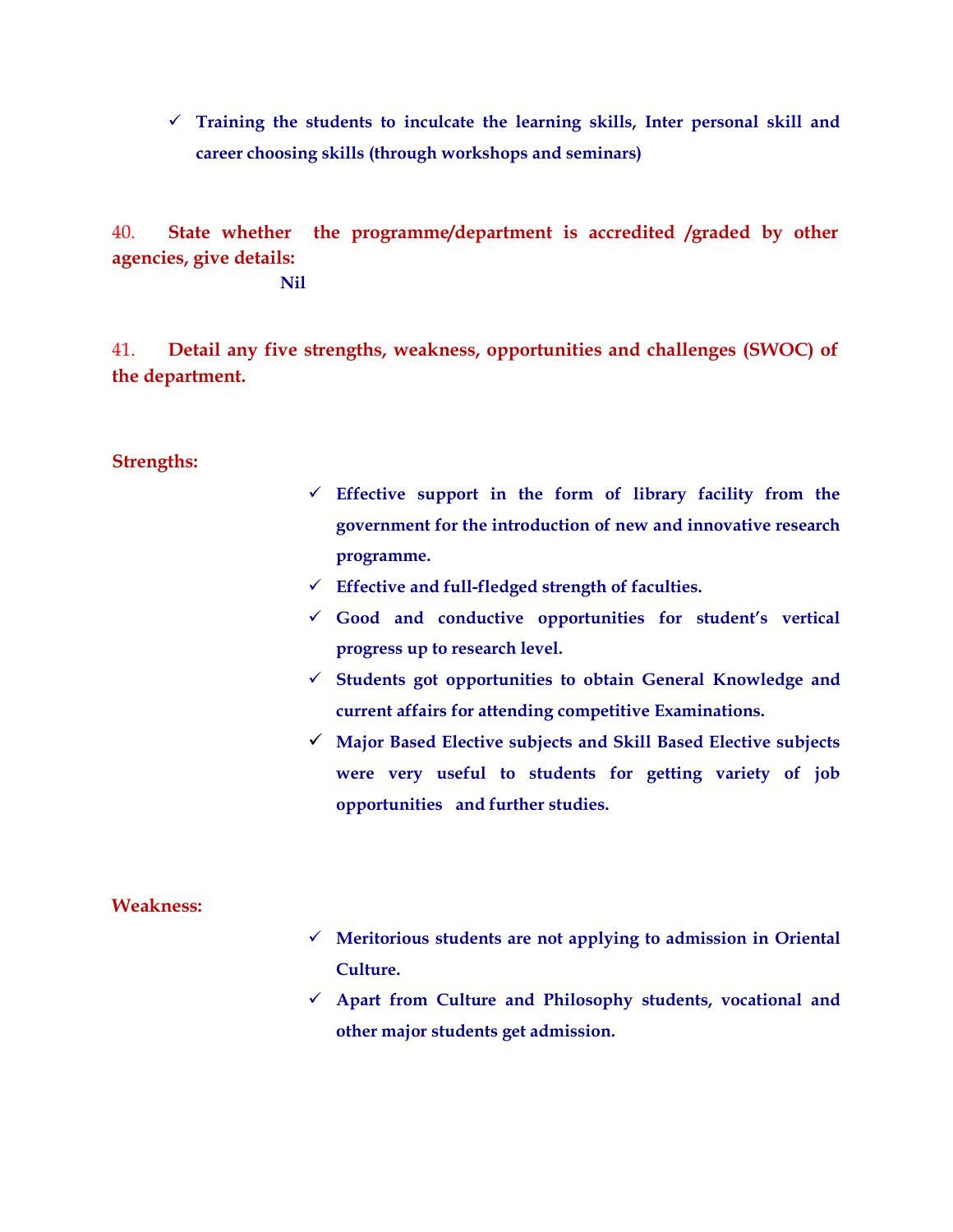**Training the students to inculcate the learning skills, Inter personal skill and career choosing skills (through workshops and seminars)**

40. **State whether the programme/department is accredited /graded by other agencies, give details:**

**Nil**

41. **Detail any five strengths, weakness, opportunities and challenges (SWOC) of the department.**

### **Strengths:**

- **Effective support in the form of library facility from the government for the introduction of new and innovative research programme.**
- **Effective and full-fledged strength of faculties.**
- **Good and conductive opportunities for student's vertical progress up to research level.**
- **Students got opportunities to obtain General Knowledge and current affairs for attending competitive Examinations.**
- **Major Based Elective subjects and Skill Based Elective subjects were very useful to students for getting variety of job opportunities and further studies.**

#### **Weakness:**

- **Meritorious students are not applying to admission in Oriental Culture.**
- **Apart from Culture and Philosophy students, vocational and other major students get admission.**